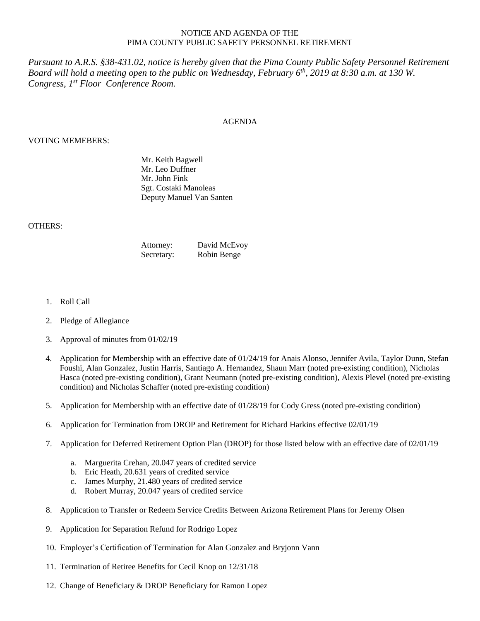## NOTICE AND AGENDA OF THE PIMA COUNTY PUBLIC SAFETY PERSONNEL RETIREMENT

*Pursuant to A.R.S. §38-431.02, notice is hereby given that the Pima County Public Safety Personnel Retirement Board will hold a meeting open to the public on Wednesday, February 6th , 2019 at 8:30 a.m. at 130 W. Congress, 1 st Floor Conference Room.*

## AGENDA

## VOTING MEMEBERS:

Mr. Keith Bagwell Mr. Leo Duffner Mr. John Fink Sgt. Costaki Manoleas Deputy Manuel Van Santen

## OTHERS:

| Attorney:  | David McEvoy |
|------------|--------------|
| Secretary: | Robin Benge  |

- 1. Roll Call
- 2. Pledge of Allegiance
- 3. Approval of minutes from 01/02/19
- 4. Application for Membership with an effective date of 01/24/19 for Anais Alonso, Jennifer Avila, Taylor Dunn, Stefan Foushi, Alan Gonzalez, Justin Harris, Santiago A. Hernandez, Shaun Marr (noted pre-existing condition), Nicholas Hasca (noted pre-existing condition), Grant Neumann (noted pre-existing condition), Alexis Plevel (noted pre-existing condition) and Nicholas Schaffer (noted pre-existing condition)
- 5. Application for Membership with an effective date of 01/28/19 for Cody Gress (noted pre-existing condition)
- 6. Application for Termination from DROP and Retirement for Richard Harkins effective 02/01/19
- 7. Application for Deferred Retirement Option Plan (DROP) for those listed below with an effective date of 02/01/19
	- a. Marguerita Crehan, 20.047 years of credited service
	- b. Eric Heath, 20.631 years of credited service
	- c. James Murphy, 21.480 years of credited service
	- d. Robert Murray, 20.047 years of credited service
- 8. Application to Transfer or Redeem Service Credits Between Arizona Retirement Plans for Jeremy Olsen
- 9. Application for Separation Refund for Rodrigo Lopez
- 10. Employer's Certification of Termination for Alan Gonzalez and Bryjonn Vann
- 11. Termination of Retiree Benefits for Cecil Knop on 12/31/18
- 12. Change of Beneficiary & DROP Beneficiary for Ramon Lopez